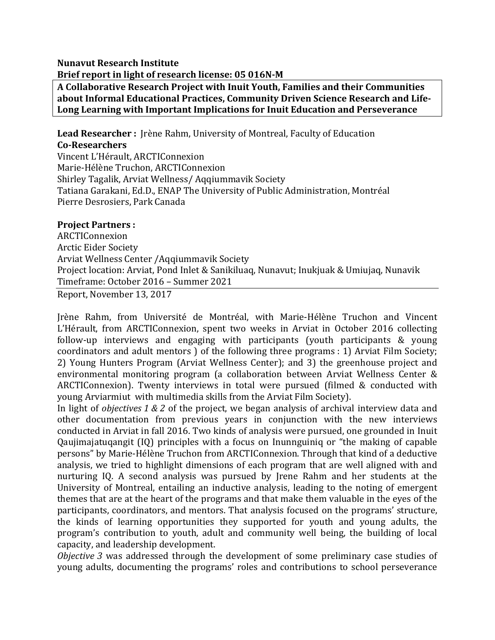## **Nunavut Research Institute** Brief report in light of research license: 05 016N-M

A Collaborative Research Project with Inuit Youth, Families and their Communities about Informal Educational Practices, Community Driven Science Research and Life-Long Learning with Important Implications for Inuit Education and Perseverance

**Lead Researcher** : [rène Rahm, University of Montreal, Faculty of Education **Co-Researchers**  Vincent L'Hérault, ARCTIConnexion Marie-Hélène Truchon, ARCTIConnexion Shirley Tagalik, Arviat Wellness/ Aqqiummavik Society Tatiana Garakani, Ed.D., ENAP The University of Public Administration, Montréal Pierre Desrosiers, Park Canada

## **Project Partners :**

ARCTIConnexion Arctic Eider Society Arviat Wellness Center /Aqqiummavik Society Project location: Arviat, Pond Inlet & Sanikiluaq, Nunavut; Inukjuak & Umiujaq, Nunavik Timeframe: October 2016 - Summer 2021

Report, November 13, 2017

Jrène Rahm, from Université de Montréal, with Marie-Hélène Truchon and Vincent L'Hérault, from ARCTIConnexion, spent two weeks in Arviat in October 2016 collecting follow-up interviews and engaging with participants (youth participants & young coordinators and adult mentors ) of the following three programs : 1) Arviat Film Society; 2) Young Hunters Program (Arviat Wellness Center); and 3) the greenhouse project and environmental monitoring program (a collaboration between Arviat Wellness Center  $&$ ARCTIConnexion). Twenty interviews in total were pursued (filmed & conducted with young Arviarmiut with multimedia skills from the Arviat Film Society).

In light of *objectives* 1 & 2 of the project, we began analysis of archival interview data and other documentation from previous vears in conjunction with the new interviews conducted in Arviat in fall 2016. Two kinds of analysis were pursued, one grounded in Inuit Qaujimajatuqangit (IQ) principles with a focus on Inunnguiniq or "the making of capable persons" by Marie-Hélène Truchon from ARCTIConnexion. Through that kind of a deductive analysis, we tried to highlight dimensions of each program that are well aligned with and nurturing IQ. A second analysis was pursued by Irene Rahm and her students at the University of Montreal, entailing an inductive analysis, leading to the noting of emergent themes that are at the heart of the programs and that make them valuable in the eyes of the participants, coordinators, and mentors. That analysis focused on the programs' structure, the kinds of learning opportunities they supported for youth and young adults, the program's contribution to youth, adult and community well being, the building of local capacity, and leadership development.

*Objective* 3 was addressed through the development of some preliminary case studies of young adults, documenting the programs' roles and contributions to school perseverance